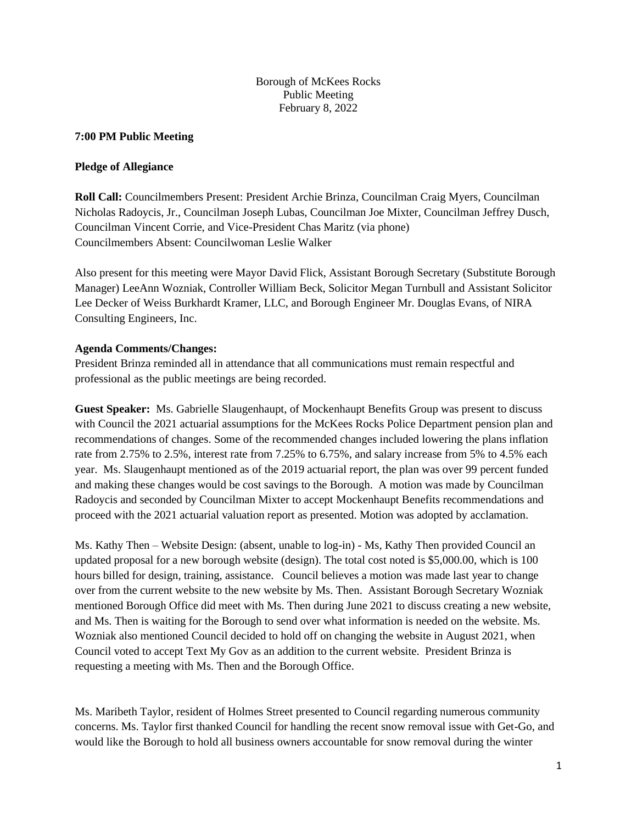Borough of McKees Rocks Public Meeting February 8, 2022

#### **7:00 PM Public Meeting**

#### **Pledge of Allegiance**

**Roll Call:** Councilmembers Present: President Archie Brinza, Councilman Craig Myers, Councilman Nicholas Radoycis, Jr., Councilman Joseph Lubas, Councilman Joe Mixter, Councilman Jeffrey Dusch, Councilman Vincent Corrie, and Vice-President Chas Maritz (via phone) Councilmembers Absent: Councilwoman Leslie Walker

Also present for this meeting were Mayor David Flick, Assistant Borough Secretary (Substitute Borough Manager) LeeAnn Wozniak, Controller William Beck, Solicitor Megan Turnbull and Assistant Solicitor Lee Decker of Weiss Burkhardt Kramer, LLC, and Borough Engineer Mr. Douglas Evans, of NIRA Consulting Engineers, Inc.

### **Agenda Comments/Changes:**

President Brinza reminded all in attendance that all communications must remain respectful and professional as the public meetings are being recorded.

**Guest Speaker:** Ms. Gabrielle Slaugenhaupt, of Mockenhaupt Benefits Group was present to discuss with Council the 2021 actuarial assumptions for the McKees Rocks Police Department pension plan and recommendations of changes. Some of the recommended changes included lowering the plans inflation rate from 2.75% to 2.5%, interest rate from 7.25% to 6.75%, and salary increase from 5% to 4.5% each year. Ms. Slaugenhaupt mentioned as of the 2019 actuarial report, the plan was over 99 percent funded and making these changes would be cost savings to the Borough. A motion was made by Councilman Radoycis and seconded by Councilman Mixter to accept Mockenhaupt Benefits recommendations and proceed with the 2021 actuarial valuation report as presented. Motion was adopted by acclamation.

Ms. Kathy Then – Website Design: (absent, unable to log-in) - Ms, Kathy Then provided Council an updated proposal for a new borough website (design). The total cost noted is \$5,000.00, which is 100 hours billed for design, training, assistance. Council believes a motion was made last year to change over from the current website to the new website by Ms. Then. Assistant Borough Secretary Wozniak mentioned Borough Office did meet with Ms. Then during June 2021 to discuss creating a new website, and Ms. Then is waiting for the Borough to send over what information is needed on the website. Ms. Wozniak also mentioned Council decided to hold off on changing the website in August 2021, when Council voted to accept Text My Gov as an addition to the current website. President Brinza is requesting a meeting with Ms. Then and the Borough Office.

Ms. Maribeth Taylor, resident of Holmes Street presented to Council regarding numerous community concerns. Ms. Taylor first thanked Council for handling the recent snow removal issue with Get-Go, and would like the Borough to hold all business owners accountable for snow removal during the winter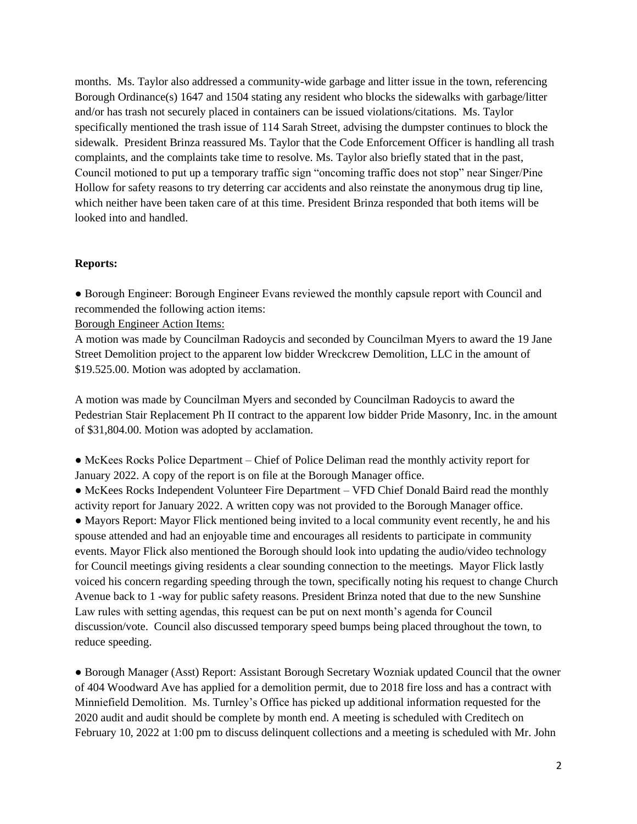months. Ms. Taylor also addressed a community-wide garbage and litter issue in the town, referencing Borough Ordinance(s) 1647 and 1504 stating any resident who blocks the sidewalks with garbage/litter and/or has trash not securely placed in containers can be issued violations/citations. Ms. Taylor specifically mentioned the trash issue of 114 Sarah Street, advising the dumpster continues to block the sidewalk. President Brinza reassured Ms. Taylor that the Code Enforcement Officer is handling all trash complaints, and the complaints take time to resolve. Ms. Taylor also briefly stated that in the past, Council motioned to put up a temporary traffic sign "oncoming traffic does not stop" near Singer/Pine Hollow for safety reasons to try deterring car accidents and also reinstate the anonymous drug tip line, which neither have been taken care of at this time. President Brinza responded that both items will be looked into and handled.

#### **Reports:**

● Borough Engineer: Borough Engineer Evans reviewed the monthly capsule report with Council and recommended the following action items:

Borough Engineer Action Items:

A motion was made by Councilman Radoycis and seconded by Councilman Myers to award the 19 Jane Street Demolition project to the apparent low bidder Wreckcrew Demolition, LLC in the amount of \$19.525.00. Motion was adopted by acclamation.

A motion was made by Councilman Myers and seconded by Councilman Radoycis to award the Pedestrian Stair Replacement Ph II contract to the apparent low bidder Pride Masonry, Inc. in the amount of \$31,804.00. Motion was adopted by acclamation.

• McKees Rocks Police Department – Chief of Police Deliman read the monthly activity report for January 2022. A copy of the report is on file at the Borough Manager office.

• McKees Rocks Independent Volunteer Fire Department – VFD Chief Donald Baird read the monthly activity report for January 2022. A written copy was not provided to the Borough Manager office.

• Mayors Report: Mayor Flick mentioned being invited to a local community event recently, he and his spouse attended and had an enjoyable time and encourages all residents to participate in community events. Mayor Flick also mentioned the Borough should look into updating the audio/video technology for Council meetings giving residents a clear sounding connection to the meetings. Mayor Flick lastly voiced his concern regarding speeding through the town, specifically noting his request to change Church Avenue back to 1 -way for public safety reasons. President Brinza noted that due to the new Sunshine Law rules with setting agendas, this request can be put on next month's agenda for Council discussion/vote. Council also discussed temporary speed bumps being placed throughout the town, to reduce speeding.

● Borough Manager (Asst) Report: Assistant Borough Secretary Wozniak updated Council that the owner of 404 Woodward Ave has applied for a demolition permit, due to 2018 fire loss and has a contract with Minniefield Demolition. Ms. Turnley's Office has picked up additional information requested for the 2020 audit and audit should be complete by month end. A meeting is scheduled with Creditech on February 10, 2022 at 1:00 pm to discuss delinquent collections and a meeting is scheduled with Mr. John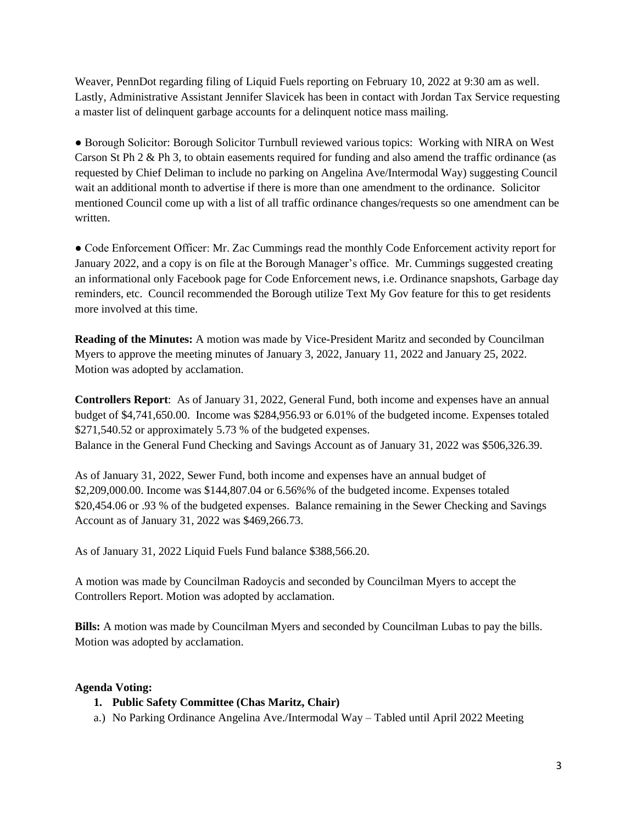Weaver, PennDot regarding filing of Liquid Fuels reporting on February 10, 2022 at 9:30 am as well. Lastly, Administrative Assistant Jennifer Slavicek has been in contact with Jordan Tax Service requesting a master list of delinquent garbage accounts for a delinquent notice mass mailing.

● Borough Solicitor: Borough Solicitor Turnbull reviewed various topics: Working with NIRA on West Carson St Ph 2 & Ph 3, to obtain easements required for funding and also amend the traffic ordinance (as requested by Chief Deliman to include no parking on Angelina Ave/Intermodal Way) suggesting Council wait an additional month to advertise if there is more than one amendment to the ordinance. Solicitor mentioned Council come up with a list of all traffic ordinance changes/requests so one amendment can be written.

● Code Enforcement Officer: Mr. Zac Cummings read the monthly Code Enforcement activity report for January 2022, and a copy is on file at the Borough Manager's office. Mr. Cummings suggested creating an informational only Facebook page for Code Enforcement news, i.e. Ordinance snapshots, Garbage day reminders, etc. Council recommended the Borough utilize Text My Gov feature for this to get residents more involved at this time.

**Reading of the Minutes:** A motion was made by Vice-President Maritz and seconded by Councilman Myers to approve the meeting minutes of January 3, 2022, January 11, 2022 and January 25, 2022. Motion was adopted by acclamation.

**Controllers Report**: As of January 31, 2022, General Fund, both income and expenses have an annual budget of \$4,741,650.00. Income was \$284,956.93 or 6.01% of the budgeted income. Expenses totaled \$271,540.52 or approximately 5.73 % of the budgeted expenses. Balance in the General Fund Checking and Savings Account as of January 31, 2022 was \$506,326.39.

As of January 31, 2022, Sewer Fund, both income and expenses have an annual budget of \$2,209,000.00. Income was \$144,807.04 or 6.56%% of the budgeted income. Expenses totaled \$20,454.06 or .93 % of the budgeted expenses. Balance remaining in the Sewer Checking and Savings Account as of January 31, 2022 was \$469,266.73.

As of January 31, 2022 Liquid Fuels Fund balance \$388,566.20.

A motion was made by Councilman Radoycis and seconded by Councilman Myers to accept the Controllers Report. Motion was adopted by acclamation.

**Bills:** A motion was made by Councilman Myers and seconded by Councilman Lubas to pay the bills. Motion was adopted by acclamation.

# **Agenda Voting:**

# **1. Public Safety Committee (Chas Maritz, Chair)**

a.) No Parking Ordinance Angelina Ave./Intermodal Way – Tabled until April 2022 Meeting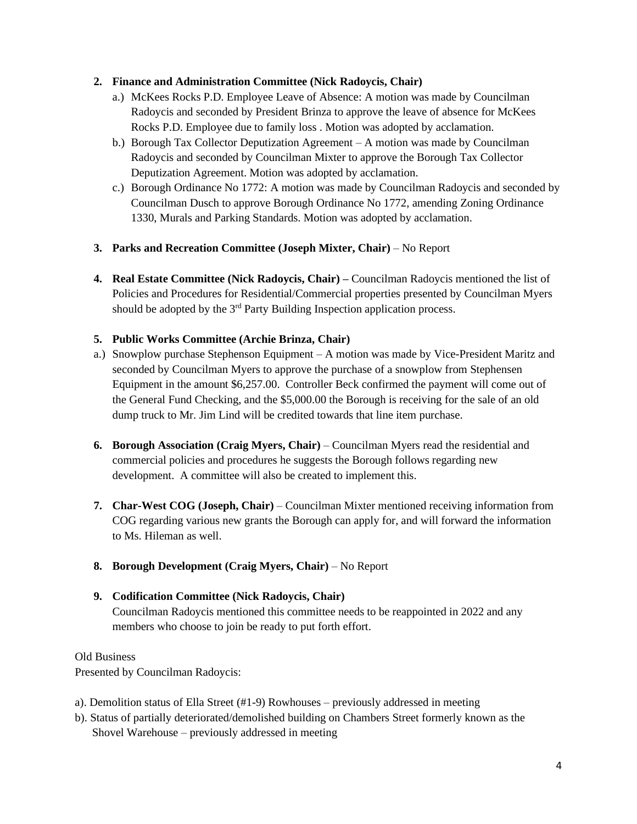## **2. Finance and Administration Committee (Nick Radoycis, Chair)**

- a.) McKees Rocks P.D. Employee Leave of Absence: A motion was made by Councilman Radoycis and seconded by President Brinza to approve the leave of absence for McKees Rocks P.D. Employee due to family loss . Motion was adopted by acclamation.
- b.) Borough Tax Collector Deputization Agreement A motion was made by Councilman Radoycis and seconded by Councilman Mixter to approve the Borough Tax Collector Deputization Agreement. Motion was adopted by acclamation.
- c.) Borough Ordinance No 1772: A motion was made by Councilman Radoycis and seconded by Councilman Dusch to approve Borough Ordinance No 1772, amending Zoning Ordinance 1330, Murals and Parking Standards. Motion was adopted by acclamation.
- **3. Parks and Recreation Committee (Joseph Mixter, Chair)** No Report
- **4. Real Estate Committee (Nick Radoycis, Chair) –** Councilman Radoycis mentioned the list of Policies and Procedures for Residential/Commercial properties presented by Councilman Myers should be adopted by the 3<sup>rd</sup> Party Building Inspection application process.

## **5. Public Works Committee (Archie Brinza, Chair)**

- a.) Snowplow purchase Stephenson Equipment A motion was made by Vice-President Maritz and seconded by Councilman Myers to approve the purchase of a snowplow from Stephensen Equipment in the amount \$6,257.00. Controller Beck confirmed the payment will come out of the General Fund Checking, and the \$5,000.00 the Borough is receiving for the sale of an old dump truck to Mr. Jim Lind will be credited towards that line item purchase.
- **6. Borough Association (Craig Myers, Chair)** Councilman Myers read the residential and commercial policies and procedures he suggests the Borough follows regarding new development. A committee will also be created to implement this.
- **7. Char-West COG (Joseph, Chair)** Councilman Mixter mentioned receiving information from COG regarding various new grants the Borough can apply for, and will forward the information to Ms. Hileman as well.
- **8. Borough Development (Craig Myers, Chair)** No Report

# **9. Codification Committee (Nick Radoycis, Chair)**

Councilman Radoycis mentioned this committee needs to be reappointed in 2022 and any members who choose to join be ready to put forth effort.

### Old Business

Presented by Councilman Radoycis:

- a). Demolition status of Ella Street (#1-9) Rowhouses previously addressed in meeting
- b). Status of partially deteriorated/demolished building on Chambers Street formerly known as the Shovel Warehouse – previously addressed in meeting